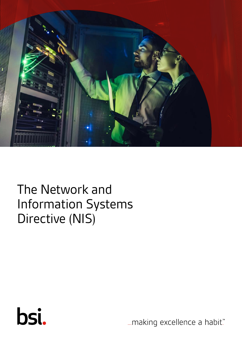

# The Network and Information Systems Directive (NIS)



... making excellence a habit."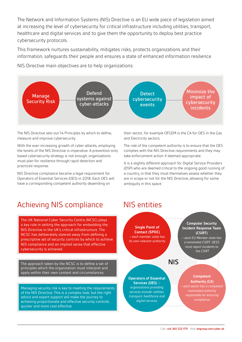The Network and Information Systems (NIS) Directive is an EU wide piece of legislation aimed at increasing the level of cybersecurity for critical infrastructure including utilities, transport, healthcare and digital services and to give them the opportunity to deploy best practice cybersecurity protocols.

This framework nurtures sustainability, mitigates risks, protects organizations and their information, safeguards their people and ensures a state of enhanced information resilience.

NIS Directive main objectives are to help organizations:



The NIS Directive sets out 14 Principles by which to define, measure and improve cybersecurity.

With the ever-increasing growth of cyber-attacks, employing the tenets of the NIS Directive is imperative. A prevention-only based cybersecurity strategy is not enough, organizations must plan for resilience through rapid detection and practiced response.

NIS Directive compliance became a legal requirement for Operators of Essential Services (OES) in 2018. Each OES will have a corresponding competent authority depending on

Achieving NIS compliance MIS entities

The UK National Cyber Security Centre (NCSC) plays a key role in setting the approach for embedding the NIS Directive in the UK's critical infrastructure. The NCSC has deliberately steered away from defining a prescriptive set of security controls by which to achieve NIS compliance and an implied sense that effective cybersecurity is achieved.

The approach taken by the NCSC is to define a set of principles which the organization must interpret and apply within their own context and circumstances.

Managing security risk is key to meeting the requirements of the NIS Directive. This is a complex task, but the right advice and expert support will make the journey to achieving proportionate and effective security controls quicker and more cost effective.

their sector, for example OFGEM is the CA for OES in the Gas and Electricity sectors.

The role of the competent authority is to ensure that the OES complies with the NIS Directive requirements and they may take enforcement action if deemed appropriate.

It is a slightly different approach for Digital Service Providers (DSP) who are deemed critical to the ongoing good running of a country, in that they must themselves assess whether they are in scope or not for the NIS Directive, allowing for some ambiguity in this space.

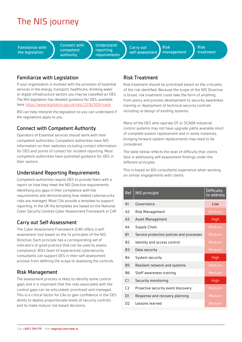## The NIS journey

Familiarize with the legislation

Connect with competent authority

**Understand** reporting requirements

Carry out self-assessment Risk management Risk treatment

#### Familiarize with Legislation

If your organization is involved with the provision of essential services in the energy, transport, healthcare, drinking water or digital infrastructure sectors you may be classified an OES. The NIS legislation has detailed guidance for OES, available here:<https://www.legislation.gov.uk/uksi/2018/506/made>

BSI can help interpret the legislation so you can understand if the regulations apply to you.

#### Connect with Competent Authority

Operators of Essential services should work with their competent authorities. Competent authorities have NIS information on their websites including contact information for OES and points of contact for incident reporting. Most competent authorities have published guidance for OES in their sectors.

#### Understand Reporting Requirements

Competent authorities require OES to provide them with a report on how they meet the NIS Directive requirements, identifying any gaps in their compliance with the requirements and demonstrating how related cybersecurity risks are managed. Most CAs provide a template to support reporting. In the UK the templates are based on the National Cyber Security Centre's Cyber Assessment Framework or CAF.

#### Carry out Self-Assessment

The Cyber Assessment Framework (CAF) offers a selfassessment tool based on the 14 principles of the NIS Directive. Each principle has a corresponding set of indicators of good practice that can be used to assess compliance. BSI's team of experienced cybersecurity consultants can support OES in their self-assessment process from defining the scope to assessing the controls.

#### Risk Management

The assessment process is likely to identify some control gaps and it is important that the risks associated with the control gaps can be articulated, prioritised and managed. This is a critical factor for CAs to gain confidence in the OES ability to deploy proportionate levels of security controls and to make mature risk-based decisions.

### Risk Treatment

Risk treatment should be prioritised based on the criticality of the risk identified. Because the scope of the NIS Directive is broad, risk treatment could take the form of anything from policy and process development to security awareness training or deployment of technical security controls including re-design of existing systems.

Many of the OES who operate OT or SCADA industrial control systems may not have upgrade paths available short of complete system replacement and in some instances, bringing forward system replacements may need to be considered.

The table below reflects the level of difficulty that clients face in addressing self-assessment findings under the different principles.

This is based on BSI consultants' experience when working on similar engagements with clients.

| Ref            | NIS principle                             | <b>Difficulty</b><br>to address |
|----------------|-------------------------------------------|---------------------------------|
| A <sub>1</sub> | Governance                                | $\log$                          |
| A2             | Risk Management                           | Medium                          |
| A <sub>3</sub> | Asset Management                          | High                            |
| А4             | Supply Chain                              | Medium                          |
| B1             | Service protection policies and processes | Medium                          |
| B <sub>2</sub> | Identity and access control               | Medium                          |
| B <sub>3</sub> | Data security                             | Medium                          |
| B4             | System security                           | High                            |
| <b>B5</b>      | Resilient network and systems             | Medium                          |
| B6             | Staff awareness training                  | Medium                          |
| C <sub>1</sub> | Security monitoring                       | <b>High</b>                     |
| C2             | Proactive security event discovery        | Medium                          |
| D1             | Response and recovery planning            | Medium                          |
| D2             | Lessons learned                           | Medium                          |